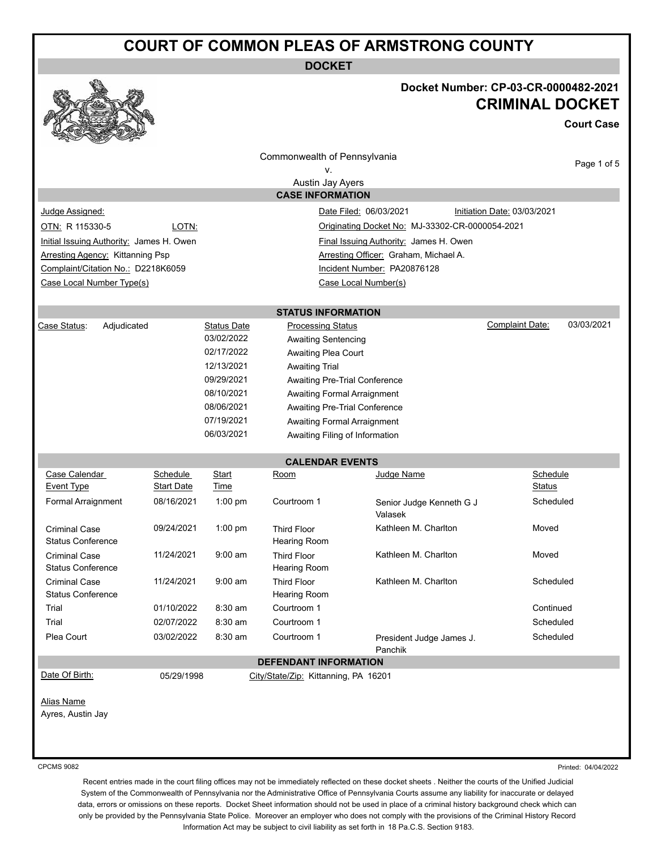# **COURT OF COMMON PLEAS OF ARMSTRONG COUNTY**

**DOCKET**



### **Docket Number: CP-03-CR-0000482-2021 CRIMINAL DOCKET**

**Court Case**

|                                                  |                               |                    | Commonwealth of Pennsylvania              |                                                 |                                      |
|--------------------------------------------------|-------------------------------|--------------------|-------------------------------------------|-------------------------------------------------|--------------------------------------|
|                                                  |                               |                    | v.                                        |                                                 | Page 1 of 5                          |
|                                                  |                               |                    | Austin Jay Ayers                          |                                                 |                                      |
|                                                  |                               |                    | <b>CASE INFORMATION</b>                   |                                                 |                                      |
| Judge Assigned:                                  |                               |                    |                                           | Date Filed: 06/03/2021                          | Initiation Date: 03/03/2021          |
| OTN: R 115330-5                                  | LOTN:                         |                    |                                           | Originating Docket No: MJ-33302-CR-0000054-2021 |                                      |
| Initial Issuing Authority: James H. Owen         |                               |                    |                                           | Final Issuing Authority: James H. Owen          |                                      |
| <b>Arresting Agency: Kittanning Psp</b>          |                               |                    |                                           | Arresting Officer: Graham, Michael A.           |                                      |
| Complaint/Citation No.: D2218K6059               |                               |                    |                                           | Incident Number: PA20876128                     |                                      |
| Case Local Number Type(s)                        |                               |                    |                                           | Case Local Number(s)                            |                                      |
|                                                  |                               |                    |                                           |                                                 |                                      |
|                                                  |                               |                    | <b>STATUS INFORMATION</b>                 |                                                 |                                      |
| Case Status:<br>Adjudicated                      |                               | <b>Status Date</b> | <b>Processing Status</b>                  |                                                 | 03/03/2021<br><b>Complaint Date:</b> |
|                                                  |                               | 03/02/2022         | <b>Awaiting Sentencing</b>                |                                                 |                                      |
|                                                  |                               | 02/17/2022         | Awaiting Plea Court                       |                                                 |                                      |
|                                                  |                               | 12/13/2021         | <b>Awaiting Trial</b>                     |                                                 |                                      |
|                                                  |                               | 09/29/2021         | Awaiting Pre-Trial Conference             |                                                 |                                      |
|                                                  |                               | 08/10/2021         | <b>Awaiting Formal Arraignment</b>        |                                                 |                                      |
|                                                  |                               | 08/06/2021         | Awaiting Pre-Trial Conference             |                                                 |                                      |
|                                                  |                               | 07/19/2021         | <b>Awaiting Formal Arraignment</b>        |                                                 |                                      |
|                                                  |                               | 06/03/2021         | Awaiting Filing of Information            |                                                 |                                      |
|                                                  |                               |                    |                                           |                                                 |                                      |
|                                                  |                               |                    | <b>CALENDAR EVENTS</b>                    |                                                 |                                      |
| Case Calendar<br><b>Event Type</b>               | Schedule<br><b>Start Date</b> | Start<br>Time      | Room                                      | Judge Name                                      | Schedule<br><b>Status</b>            |
| Formal Arraignment                               | 08/16/2021                    | $1:00$ pm          | Courtroom 1                               |                                                 | Scheduled                            |
|                                                  |                               |                    |                                           | Senior Judge Kenneth G J<br>Valasek             |                                      |
| <b>Criminal Case</b><br><b>Status Conference</b> | 09/24/2021                    | $1:00$ pm          | <b>Third Floor</b><br>Hearing Room        | Kathleen M. Charlton                            | Moved                                |
| <b>Criminal Case</b>                             | 11/24/2021                    | $9:00$ am          | <b>Third Floor</b>                        | Kathleen M. Charlton                            | Moved                                |
| <b>Status Conference</b>                         |                               |                    | Hearing Room                              |                                                 |                                      |
| <b>Criminal Case</b><br><b>Status Conference</b> | 11/24/2021                    | $9:00 \text{ am}$  | <b>Third Floor</b><br><b>Hearing Room</b> | Kathleen M. Charlton                            | Scheduled                            |
| Trial                                            | 01/10/2022                    | 8:30 am            | Courtroom 1                               |                                                 | Continued                            |
| Trial                                            | 02/07/2022                    | 8:30 am            | Courtroom 1                               |                                                 | Scheduled                            |
| Plea Court                                       | 03/02/2022                    | 8:30 am            | Courtroom 1                               | President Judge James J.                        | Scheduled                            |
|                                                  |                               |                    |                                           | Panchik                                         |                                      |
|                                                  |                               |                    | <b>DEFENDANT INFORMATION</b>              |                                                 |                                      |
| Date Of Birth:                                   | 05/29/1998                    |                    | City/State/Zip: Kittanning, PA 16201      |                                                 |                                      |
|                                                  |                               |                    |                                           |                                                 |                                      |
| <b>Alias Name</b>                                |                               |                    |                                           |                                                 |                                      |
| Ayres, Austin Jay                                |                               |                    |                                           |                                                 |                                      |
|                                                  |                               |                    |                                           |                                                 |                                      |
|                                                  |                               |                    |                                           |                                                 |                                      |
|                                                  |                               |                    |                                           |                                                 |                                      |

CPCMS 9082

Printed: 04/04/2022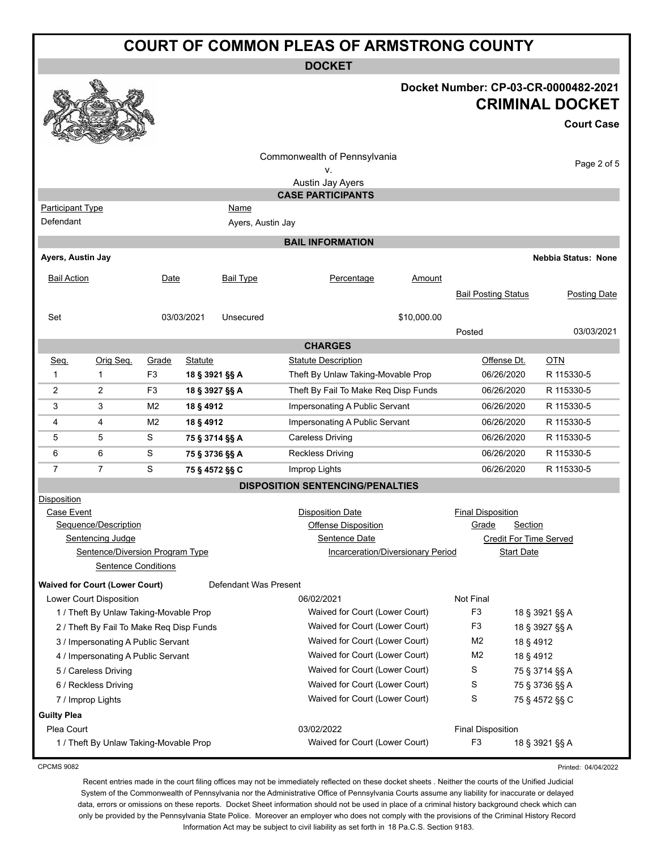|                                      |                                                 |                |            |                           | <b>COURT OF COMMON PLEAS OF ARMSTRONG COUNTY</b>   |                                   |                            |                   |                                                                                     |
|--------------------------------------|-------------------------------------------------|----------------|------------|---------------------------|----------------------------------------------------|-----------------------------------|----------------------------|-------------------|-------------------------------------------------------------------------------------|
|                                      |                                                 |                |            |                           | <b>DOCKET</b>                                      |                                   |                            |                   |                                                                                     |
|                                      |                                                 |                |            |                           |                                                    |                                   |                            |                   | Docket Number: CP-03-CR-0000482-2021<br><b>CRIMINAL DOCKET</b><br><b>Court Case</b> |
|                                      |                                                 |                |            |                           | Commonwealth of Pennsylvania<br>۷.                 |                                   |                            |                   | Page 2 of 5                                                                         |
|                                      |                                                 |                |            |                           | Austin Jay Ayers                                   |                                   |                            |                   |                                                                                     |
|                                      |                                                 |                |            |                           | <b>CASE PARTICIPANTS</b>                           |                                   |                            |                   |                                                                                     |
| <b>Participant Type</b><br>Defendant |                                                 |                |            | Name<br>Ayers, Austin Jay |                                                    |                                   |                            |                   |                                                                                     |
|                                      |                                                 |                |            |                           |                                                    |                                   |                            |                   |                                                                                     |
|                                      |                                                 |                |            |                           | <b>BAIL INFORMATION</b>                            |                                   |                            |                   |                                                                                     |
| Ayers, Austin Jay                    |                                                 |                |            |                           |                                                    |                                   |                            |                   | <b>Nebbia Status: None</b>                                                          |
| <b>Bail Action</b>                   |                                                 | Date           |            | <b>Bail Type</b>          | Percentage                                         | Amount                            |                            |                   |                                                                                     |
|                                      |                                                 |                |            |                           |                                                    |                                   | <b>Bail Posting Status</b> |                   | <b>Posting Date</b>                                                                 |
| Set                                  |                                                 |                | 03/03/2021 | Unsecured                 |                                                    | \$10,000.00                       |                            |                   |                                                                                     |
|                                      |                                                 |                |            |                           |                                                    |                                   | Posted                     |                   | 03/03/2021                                                                          |
| <b>CHARGES</b>                       |                                                 |                |            |                           |                                                    |                                   |                            |                   |                                                                                     |
| Seq.                                 | Orig Seq.                                       | Grade          | Statute    |                           | <b>Statute Description</b>                         |                                   | Offense Dt.                |                   | OTN                                                                                 |
| 1                                    | $\mathbf 1$                                     | F <sub>3</sub> |            | 18 § 3921 §§ A            | Theft By Unlaw Taking-Movable Prop                 |                                   | 06/26/2020                 |                   | R 115330-5                                                                          |
| 2                                    | $\overline{2}$                                  | F3             |            | 18 § 3927 §§ A            | Theft By Fail To Make Reg Disp Funds               |                                   | 06/26/2020                 |                   | R 115330-5                                                                          |
| 3                                    | 3                                               | M <sub>2</sub> | 18 § 4912  |                           | Impersonating A Public Servant                     |                                   | 06/26/2020                 |                   | R 115330-5                                                                          |
| 4                                    | 4                                               | M <sub>2</sub> | 18 § 4912  |                           | Impersonating A Public Servant                     |                                   | 06/26/2020                 |                   | R 115330-5                                                                          |
| 5                                    | 5                                               | S              |            | 75 § 3714 §§ A            | <b>Careless Driving</b>                            |                                   | 06/26/2020                 |                   | R 115330-5                                                                          |
| 6                                    | 6                                               | S              |            | 75 § 3736 §§ A            | <b>Reckless Driving</b>                            |                                   | 06/26/2020                 |                   | R 115330-5                                                                          |
| 7                                    | $\overline{7}$                                  | S              |            | 75 § 4572 §§ C            | Improp Lights                                      |                                   | 06/26/2020                 |                   | R 115330-5                                                                          |
|                                      |                                                 |                |            |                           | <b>DISPOSITION SENTENCING/PENALTIES</b>            |                                   |                            |                   |                                                                                     |
| <b>Disposition</b>                   |                                                 |                |            |                           |                                                    |                                   |                            |                   |                                                                                     |
| Case Event                           |                                                 |                |            |                           | <b>Disposition Date</b>                            |                                   | <b>Final Disposition</b>   |                   |                                                                                     |
|                                      | Sequence/Description<br><b>Sentencing Judge</b> |                |            |                           | <b>Offense Disposition</b><br><b>Sentence Date</b> |                                   | Grade                      | Section           | <b>Credit For Time Served</b>                                                       |
|                                      | Sentence/Diversion Program Type                 |                |            |                           |                                                    | Incarceration/Diversionary Period |                            | <b>Start Date</b> |                                                                                     |
|                                      | <b>Sentence Conditions</b>                      |                |            |                           |                                                    |                                   |                            |                   |                                                                                     |
|                                      | <b>Waived for Court (Lower Court)</b>           |                |            | Defendant Was Present     |                                                    |                                   |                            |                   |                                                                                     |
|                                      | Lower Court Disposition                         |                |            |                           | 06/02/2021                                         |                                   | Not Final                  |                   |                                                                                     |
|                                      | 1 / Theft By Unlaw Taking-Movable Prop          |                |            |                           | Waived for Court (Lower Court)                     |                                   | F <sub>3</sub>             |                   | 18 § 3921 §§ A                                                                      |
|                                      | 2 / Theft By Fail To Make Req Disp Funds        |                |            |                           | Waived for Court (Lower Court)                     |                                   | F <sub>3</sub>             |                   | 18 § 3927 §§ A                                                                      |
|                                      | 3 / Impersonating A Public Servant              |                |            |                           | Waived for Court (Lower Court)                     |                                   | M <sub>2</sub>             | 18 § 4912         |                                                                                     |
|                                      | 4 / Impersonating A Public Servant              |                |            |                           | Waived for Court (Lower Court)                     |                                   | M <sub>2</sub>             | 18 § 4912         |                                                                                     |
|                                      | 5 / Careless Driving                            |                |            |                           | Waived for Court (Lower Court)                     |                                   | S<br>75 § 3714 §§ A        |                   |                                                                                     |
|                                      | 6 / Reckless Driving                            |                |            |                           | Waived for Court (Lower Court)                     |                                   | S                          |                   | 75 § 3736 §§ A                                                                      |
|                                      | 7 / Improp Lights                               |                |            |                           | Waived for Court (Lower Court)                     |                                   | S                          |                   | 75 § 4572 §§ C                                                                      |
| <b>Guilty Plea</b>                   |                                                 |                |            |                           |                                                    |                                   |                            |                   |                                                                                     |

Plea Court **Plea Court Plea Court Plea Court Plea Court Final Disposition** 1 / Theft By Unlaw Taking-Movable Prop Nation Court (Lower Court (Lower Court) F3 18 § 3921 §§ A

Printed: 04/04/2022

CPCMS 9082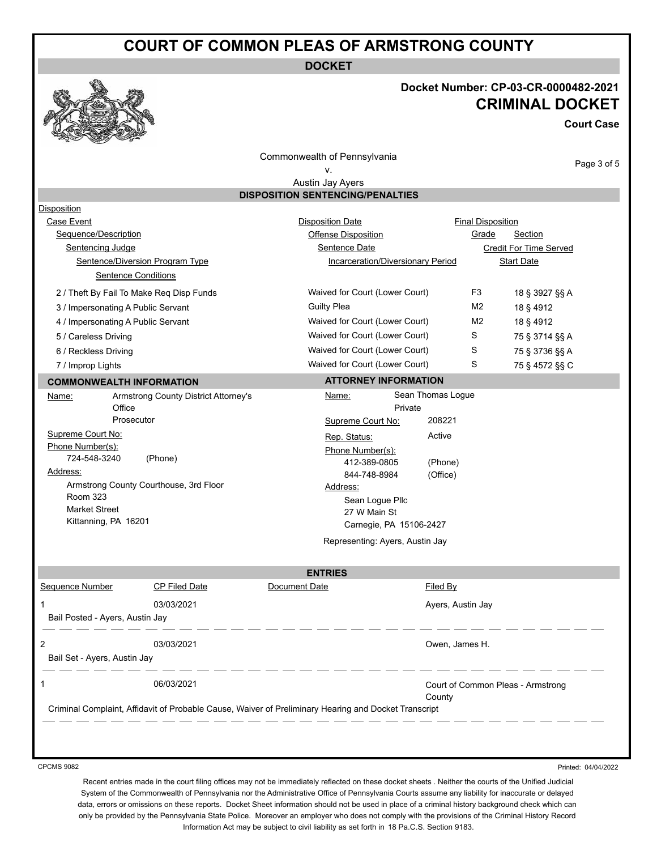# **COURT OF COMMON PLEAS OF ARMSTRONG COUNTY**

**DOCKET**

#### **Docket Number: CP-03-CR-0000482-2021 CRIMINAL DOCKET**

**Court Case**

Page 3 of 5

Commonwealth of Pennsylvania

#### v.

Austin Jay Ayers **DISPOSITION SENTENCING/PENALTIES**

| <b>Disposition</b>                 |                                          |                                                                                                      |                                   |                          |  |
|------------------------------------|------------------------------------------|------------------------------------------------------------------------------------------------------|-----------------------------------|--------------------------|--|
| Case Event                         |                                          | <b>Disposition Date</b>                                                                              |                                   | <b>Final Disposition</b> |  |
| Sequence/Description               |                                          | Offense Disposition                                                                                  | Grade                             | Section                  |  |
| Sentencing Judge                   |                                          | <b>Sentence Date</b>                                                                                 |                                   | Credit For Time Served   |  |
|                                    | Sentence/Diversion Program Type          | Incarceration/Diversionary Period                                                                    |                                   | <b>Start Date</b>        |  |
|                                    | <b>Sentence Conditions</b>               |                                                                                                      |                                   |                          |  |
|                                    | 2 / Theft By Fail To Make Reg Disp Funds | Waived for Court (Lower Court)                                                                       | F <sub>3</sub>                    | 18 § 3927 §§ A           |  |
| 3 / Impersonating A Public Servant |                                          | <b>Guilty Plea</b>                                                                                   | M <sub>2</sub>                    | 18 § 4912                |  |
| 4 / Impersonating A Public Servant |                                          | Waived for Court (Lower Court)                                                                       | M <sub>2</sub>                    | 18 § 4912                |  |
| 5 / Careless Driving               |                                          | Waived for Court (Lower Court)                                                                       | S                                 | 75 § 3714 §§ A           |  |
| 6 / Reckless Driving               |                                          | Waived for Court (Lower Court)                                                                       | S                                 | 75 § 3736 §§ A           |  |
| 7 / Improp Lights                  |                                          | Waived for Court (Lower Court)                                                                       | S                                 | 75 § 4572 §§ C           |  |
| <b>COMMONWEALTH INFORMATION</b>    |                                          | <b>ATTORNEY INFORMATION</b>                                                                          |                                   |                          |  |
| Name:                              | Armstrong County District Attorney's     | Name:                                                                                                | Sean Thomas Logue                 |                          |  |
| Office                             |                                          | Private                                                                                              |                                   |                          |  |
|                                    | Prosecutor                               | Supreme Court No:                                                                                    | 208221                            |                          |  |
| Supreme Court No:                  |                                          | Rep. Status:                                                                                         | Active                            |                          |  |
| Phone Number(s):                   |                                          | Phone Number(s):                                                                                     |                                   |                          |  |
| 724-548-3240<br>Address:           | (Phone)                                  | 412-389-0805                                                                                         | (Phone)                           |                          |  |
|                                    | Armstrong County Courthouse, 3rd Floor   | 844-748-8984                                                                                         | (Office)                          |                          |  |
| <b>Room 323</b>                    |                                          | Address:                                                                                             |                                   |                          |  |
| <b>Market Street</b>               |                                          | Sean Logue Pllc<br>27 W Main St                                                                      |                                   |                          |  |
| Kittanning, PA 16201               |                                          | Carnegie, PA 15106-2427                                                                              |                                   |                          |  |
|                                    |                                          | Representing: Ayers, Austin Jay                                                                      |                                   |                          |  |
|                                    |                                          |                                                                                                      |                                   |                          |  |
|                                    |                                          | <b>ENTRIES</b>                                                                                       |                                   |                          |  |
| Sequence Number                    | <b>CP Filed Date</b>                     | Document Date                                                                                        | Filed By                          |                          |  |
|                                    | 03/03/2021                               |                                                                                                      | Ayers, Austin Jay                 |                          |  |
| Bail Posted - Ayers, Austin Jay    |                                          |                                                                                                      |                                   |                          |  |
|                                    | 03/03/2021                               |                                                                                                      | Owen, James H.                    |                          |  |
| Bail Set - Ayers, Austin Jay       |                                          |                                                                                                      |                                   |                          |  |
|                                    | 06/03/2021                               |                                                                                                      | Court of Common Pleas - Armstrong |                          |  |
|                                    |                                          |                                                                                                      | County                            |                          |  |
|                                    |                                          | Criminal Complaint, Affidavit of Probable Cause, Waiver of Preliminary Hearing and Docket Transcript |                                   |                          |  |

CPCMS 9082

Printed: 04/04/2022

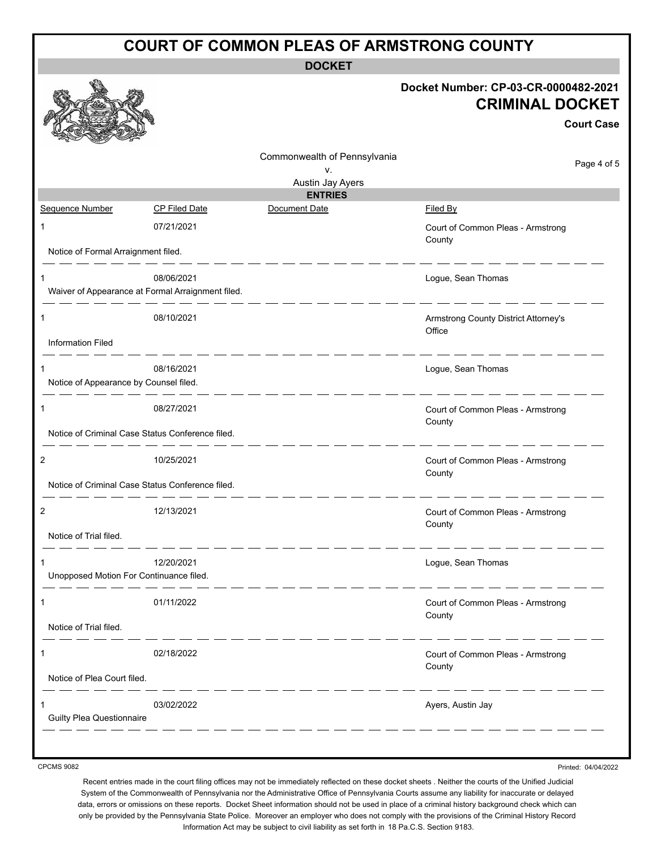|                                             |                                                                 | <b>COURT OF COMMON PLEAS OF ARMSTRONG COUNTY</b>       |                                                                                     |
|---------------------------------------------|-----------------------------------------------------------------|--------------------------------------------------------|-------------------------------------------------------------------------------------|
|                                             |                                                                 | <b>DOCKET</b>                                          |                                                                                     |
|                                             |                                                                 |                                                        | Docket Number: CP-03-CR-0000482-2021<br><b>CRIMINAL DOCKET</b><br><b>Court Case</b> |
|                                             |                                                                 | Commonwealth of Pennsylvania<br>ν.<br>Austin Jay Ayers | Page 4 of 5                                                                         |
|                                             |                                                                 | <b>ENTRIES</b>                                         |                                                                                     |
| Sequence Number                             | <b>CP Filed Date</b>                                            | Document Date                                          | Filed By                                                                            |
| 1<br>Notice of Formal Arraignment filed.    | 07/21/2021                                                      |                                                        | Court of Common Pleas - Armstrong<br>County                                         |
|                                             |                                                                 |                                                        |                                                                                     |
| 1                                           | 08/06/2021<br>Waiver of Appearance at Formal Arraignment filed. |                                                        | Logue, Sean Thomas                                                                  |
| 1                                           | 08/10/2021                                                      |                                                        | Armstrong County District Attorney's<br>Office                                      |
| <b>Information Filed</b>                    |                                                                 |                                                        |                                                                                     |
| 1<br>Notice of Appearance by Counsel filed. | 08/16/2021                                                      |                                                        | Logue, Sean Thomas                                                                  |
| 1                                           | 08/27/2021                                                      |                                                        | Court of Common Pleas - Armstrong<br>County                                         |
|                                             | Notice of Criminal Case Status Conference filed.                |                                                        |                                                                                     |
| $\overline{2}$                              | 10/25/2021                                                      |                                                        | Court of Common Pleas - Armstrong<br>County                                         |
|                                             | Notice of Criminal Case Status Conference filed.                |                                                        |                                                                                     |
|                                             | 12/13/2021                                                      |                                                        | Court of Common Pleas - Armstrong<br>County                                         |
| Notice of Trial filed.                      |                                                                 |                                                        |                                                                                     |
| Unopposed Motion For Continuance filed.     | 12/20/2021                                                      |                                                        | Logue, Sean Thomas                                                                  |
| 1                                           | 01/11/2022                                                      |                                                        | Court of Common Pleas - Armstrong<br>County                                         |
| Notice of Trial filed.                      |                                                                 |                                                        |                                                                                     |
|                                             | 02/18/2022                                                      |                                                        | Court of Common Pleas - Armstrong<br>County                                         |
| Notice of Plea Court filed.                 |                                                                 |                                                        |                                                                                     |
| <b>Guilty Plea Questionnaire</b>            | 03/02/2022                                                      |                                                        | Ayers, Austin Jay                                                                   |
|                                             |                                                                 |                                                        |                                                                                     |

CPCMS 9082

Printed: 04/04/2022